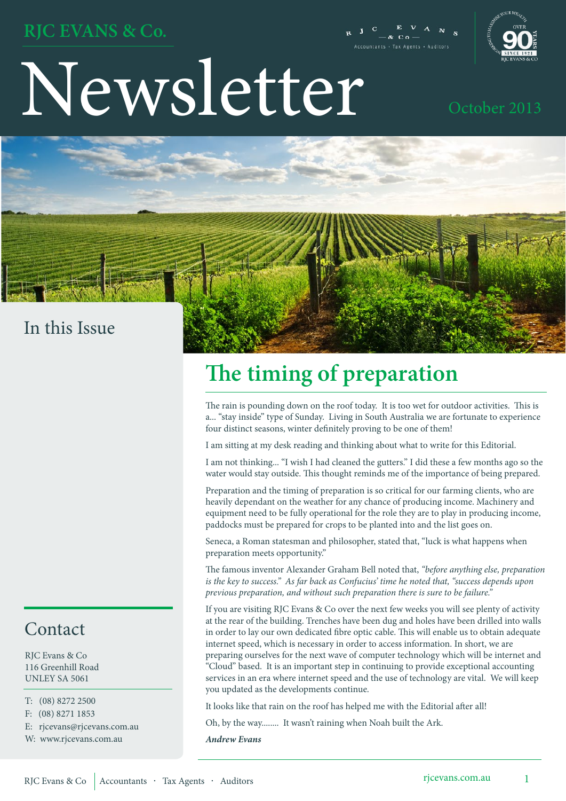### **RJC EVANS & Co.**

Newsletter October 2013



### In this Issue

### Contact

RJC Evans & Co 116 Greenhill Road UNLEY SA 5061

T: (08) 8272 2500

F: (08) 8271 1853

E: rjcevans@rjcevans.com.au

W: www.rjcevans.com.au

# **The timing of preparation**

The rain is pounding down on the roof today. It is too wet for outdoor activities. This is a... "stay inside" type of Sunday. Living in South Australia we are fortunate to experience four distinct seasons, winter definitely proving to be one of them!

I am sitting at my desk reading and thinking about what to write for this Editorial.

I am not thinking... "I wish I had cleaned the gutters." I did these a few months ago so the water would stay outside. This thought reminds me of the importance of being prepared.

Preparation and the timing of preparation is so critical for our farming clients, who are heavily dependant on the weather for any chance of producing income. Machinery and equipment need to be fully operational for the role they are to play in producing income, paddocks must be prepared for crops to be planted into and the list goes on.

Seneca, a Roman statesman and philosopher, stated that, "luck is what happens when preparation meets opportunity."

The famous inventor Alexander Graham Bell noted that, *"before anything else, preparation is the key to success." As far back as Confucius' time he noted that, "success depends upon previous preparation, and without such preparation there is sure to be failure."*

If you are visiting RJC Evans & Co over the next few weeks you will see plenty of activity at the rear of the building. Trenches have been dug and holes have been drilled into walls in order to lay our own dedicated fibre optic cable. This will enable us to obtain adequate internet speed, which is necessary in order to access information. In short, we are preparing ourselves for the next wave of computer technology which will be internet and "Cloud" based. It is an important step in continuing to provide exceptional accounting services in an era where internet speed and the use of technology are vital. We will keep you updated as the developments continue.

It looks like that rain on the roof has helped me with the Editorial after all!

Oh, by the way........ It wasn't raining when Noah built the Ark.

*Andrew Evans*

Auditors rjcevans.com.au I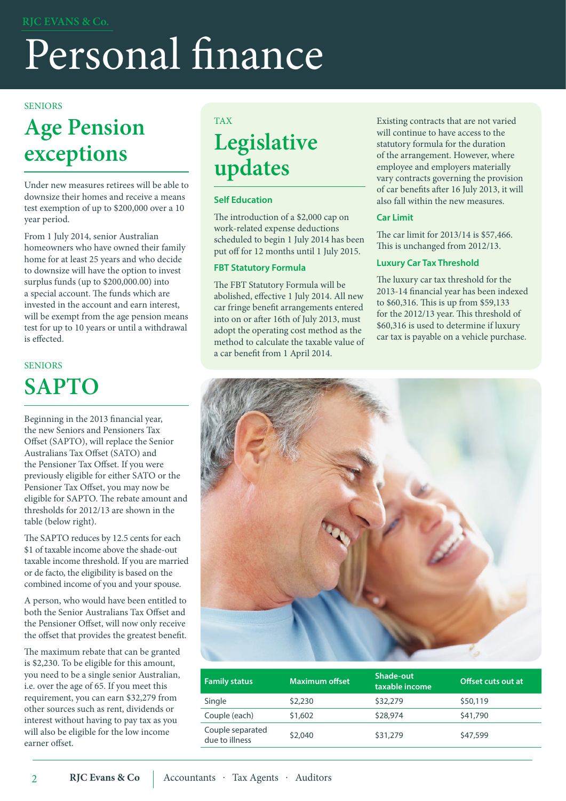# Personal finance

#### **SENIORS**

# **Age Pension exceptions**

Under new measures retirees will be able to downsize their homes and receive a means test exemption of up to \$200,000 over a 10 year period.

From 1 July 2014, senior Australian homeowners who have owned their family home for at least 25 years and who decide to downsize will have the option to invest surplus funds (up to \$200,000.00) into a special account. The funds which are invested in the account and earn interest, will be exempt from the age pension means test for up to 10 years or until a withdrawal is effected.

### SENIORS **SAPTO**

Beginning in the 2013 financial year, the new Seniors and Pensioners Tax Offset (SAPTO), will replace the Senior Australians Tax Offset (SATO) and the Pensioner Tax Offset. If you were previously eligible for either SATO or the Pensioner Tax Offset, you may now be eligible for SAPTO. The rebate amount and thresholds for 2012/13 are shown in the table (below right).

The SAPTO reduces by 12.5 cents for each \$1 of taxable income above the shade-out taxable income threshold. If you are married or de facto, the eligibility is based on the combined income of you and your spouse.

A person, who would have been entitled to both the Senior Australians Tax Offset and the Pensioner Offset, will now only receive the offset that provides the greatest benefit.

The maximum rebate that can be granted is \$2,230. To be eligible for this amount, you need to be a single senior Australian, i.e. over the age of 65. If you meet this requirement, you can earn \$32,279 from other sources such as rent, dividends or interest without having to pay tax as you will also be eligible for the low income earner offset.

### TAX **Legislative updates**

#### **Self Education**

The introduction of a \$2,000 cap on work-related expense deductions scheduled to begin 1 July 2014 has been put off for 12 months until 1 July 2015.

#### **FBT Statutory Formula**

The FBT Statutory Formula will be abolished, effective 1 July 2014. All new car fringe benefit arrangements entered into on or after 16th of July 2013, must adopt the operating cost method as the method to calculate the taxable value of a car benefit from 1 April 2014.

Existing contracts that are not varied will continue to have access to the statutory formula for the duration of the arrangement. However, where employee and employers materially vary contracts governing the provision of car benefits after 16 July 2013, it will also fall within the new measures.

#### **Car Limit**

The car limit for 2013/14 is \$57,466. This is unchanged from 2012/13.

#### **Luxury Car Tax Threshold**

The luxury car tax threshold for the 2013-14 financial year has been indexed to \$60,316. This is up from \$59,133 for the 2012/13 year. This threshold of \$60,316 is used to determine if luxury car tax is payable on a vehicle purchase.



| <b>Family status</b>               | Maximum offset | Shade-out<br>taxable income | Offset cuts out at |
|------------------------------------|----------------|-----------------------------|--------------------|
| Single                             | \$2,230        | \$32,279                    | \$50,119           |
| Couple (each)                      | \$1,602        | \$28,974                    | \$41,790           |
| Couple separated<br>due to illness | \$2,040        | \$31,279                    | \$47,599           |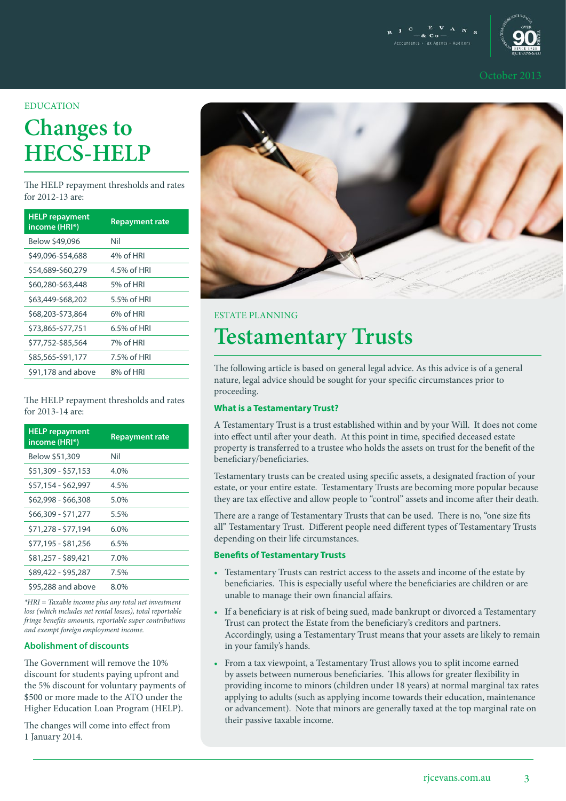$\begin{array}{ccccc}\n & \mathbf{C} & \mathbf{E} & \mathbf{V} & \mathbf{A} & \mathbf{N} \\
& -\mathbf{\&} & \mathbf{C} & \mathbf{0} & \mathbf{0} & \mathbf{N}\n\end{array}$ Accountants - Tax Agents - Auditors



#### **EDUCATION**

# **Changes to HECS-HELP**

The HELP repayment thresholds and rates for 2012-13 are:

| <b>HELP</b> repayment<br>income (HRI*) | <b>Repayment rate</b> |
|----------------------------------------|-----------------------|
| Below \$49,096                         | Nil                   |
| \$49,096-\$54,688                      | 4% of HRI             |
| \$54,689-\$60,279                      | 4.5% of HRI           |
| \$60,280-\$63,448                      | 5% of HRI             |
| \$63,449-\$68,202                      | 5.5% of HRI           |
| \$68,203-\$73,864                      | 6% of HRI             |
| \$73,865-\$77,751                      | 6.5% of HRI           |
| \$77,752-\$85,564                      | 7% of HRI             |
| \$85,565-\$91,177                      | 7.5% of HRI           |
| \$91,178 and above                     | 8% of HRI             |

The HELP repayment thresholds and rates for 2013-14 are:

| <b>HELP</b> repayment<br>income (HRI*) | <b>Repayment rate</b> |
|----------------------------------------|-----------------------|
| Below \$51,309                         | Nil                   |
| \$51,309 - \$57,153                    | 4.0%                  |
| \$57,154 - \$62,997                    | 4.5%                  |
| \$62,998 - \$66,308                    | 5.0%                  |
| \$66,309 - \$71,277                    | 5.5%                  |
| \$71,278 - \$77,194                    | 6.0%                  |
| \$77,195 - \$81,256                    | 6.5%                  |
| \$81,257 - \$89,421                    | 7.0%                  |
| \$89,422 - \$95,287                    | 7.5%                  |
| \$95,288 and above                     | 8.0%                  |

*\*HRI = Taxable income plus any total net investment loss (which includes net rental losses), total reportable fringe benefits amounts, reportable super contributions and exempt foreign employment income.*

#### **Abolishment of discounts**

The Government will remove the 10% discount for students paying upfront and the 5% discount for voluntary payments of \$500 or more made to the ATO under the Higher Education Loan Program (HELP).

The changes will come into effect from 1 January 2014.



#### ESTATE PLANNING

## **Testamentary Trusts**

The following article is based on general legal advice. As this advice is of a general nature, legal advice should be sought for your specific circumstances prior to proceeding.

#### **What is a Testamentary Trust?**

A Testamentary Trust is a trust established within and by your Will. It does not come into effect until after your death. At this point in time, specified deceased estate property is transferred to a trustee who holds the assets on trust for the benefit of the beneficiary/beneficiaries.

Testamentary trusts can be created using specific assets, a designated fraction of your estate, or your entire estate. Testamentary Trusts are becoming more popular because they are tax effective and allow people to "control" assets and income after their death.

There are a range of Testamentary Trusts that can be used. There is no, "one size fits all" Testamentary Trust. Different people need different types of Testamentary Trusts depending on their life circumstances.

#### **Benefits of Testamentary Trusts**

- Testamentary Trusts can restrict access to the assets and income of the estate by beneficiaries. This is especially useful where the beneficiaries are children or are unable to manage their own financial affairs.
- If a beneficiary is at risk of being sued, made bankrupt or divorced a Testamentary Trust can protect the Estate from the beneficiary's creditors and partners. Accordingly, using a Testamentary Trust means that your assets are likely to remain in your family's hands.
- From a tax viewpoint, a Testamentary Trust allows you to split income earned by assets between numerous beneficiaries. This allows for greater flexibility in providing income to minors (children under 18 years) at normal marginal tax rates applying to adults (such as applying income towards their education, maintenance or advancement). Note that minors are generally taxed at the top marginal rate on their passive taxable income.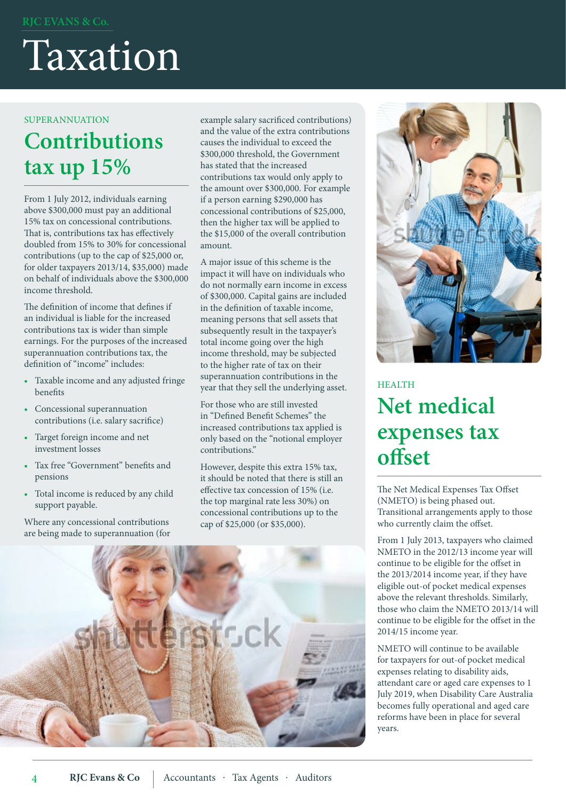# Taxation

#### SUPERANNUATION

# **Contributions tax up 15%**

From 1 July 2012, individuals earning above \$300,000 must pay an additional 15% tax on concessional contributions. That is, contributions tax has effectively doubled from 15% to 30% for concessional contributions (up to the cap of \$25,000 or, for older taxpayers 2013/14, \$35,000) made on behalf of individuals above the \$300,000 income threshold.

The definition of income that defines if an individual is liable for the increased contributions tax is wider than simple earnings. For the purposes of the increased superannuation contributions tax, the definition of "income" includes:

- Taxable income and any adjusted fringe benefits
- Concessional superannuation contributions (i.e. salary sacrifice)
- Target foreign income and net investment losses
- • Tax free "Government" benefits and pensions
- • Total income is reduced by any child support payable.

Where any concessional contributions are being made to superannuation (for example salary sacrificed contributions) and the value of the extra contributions causes the individual to exceed the \$300,000 threshold, the Government has stated that the increased contributions tax would only apply to the amount over \$300,000. For example if a person earning \$290,000 has concessional contributions of \$25,000, then the higher tax will be applied to the \$15,000 of the overall contribution amount.

A major issue of this scheme is the impact it will have on individuals who do not normally earn income in excess of \$300,000. Capital gains are included in the definition of taxable income, meaning persons that sell assets that subsequently result in the taxpayer's total income going over the high income threshold, may be subjected to the higher rate of tax on their superannuation contributions in the year that they sell the underlying asset.

For those who are still invested in "Defined Benefit Schemes" the increased contributions tax applied is only based on the "notional employer contributions."

However, despite this extra 15% tax, it should be noted that there is still an effective tax concession of 15% (i.e. the top marginal rate less 30%) on concessional contributions up to the cap of \$25,000 (or \$35,000).





### HEALTH **Net medical expenses tax offset**

The Net Medical Expenses Tax Offset (NMETO) is being phased out. Transitional arrangements apply to those who currently claim the offset.

From 1 July 2013, taxpayers who claimed NMETO in the 2012/13 income year will continue to be eligible for the offset in the 2013/2014 income year, if they have eligible out-of pocket medical expenses above the relevant thresholds. Similarly, those who claim the NMETO 2013/14 will continue to be eligible for the offset in the 2014/15 income year.

NMETO will continue to be available for taxpayers for out-of pocket medical expenses relating to disability aids, attendant care or aged care expenses to 1 July 2019, when Disability Care Australia becomes fully operational and aged care reforms have been in place for several years.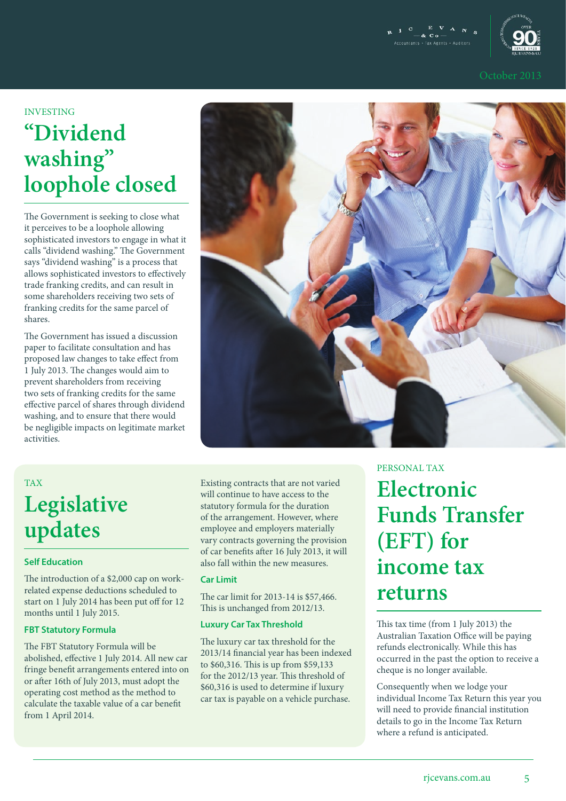



## INVESTING **"Dividend washing" loophole closed**

The Government is seeking to close what it perceives to be a loophole allowing sophisticated investors to engage in what it calls "dividend washing." The Government says "dividend washing" is a process that allows sophisticated investors to effectively trade franking credits, and can result in some shareholders receiving two sets of franking credits for the same parcel of shares.

The Government has issued a discussion paper to facilitate consultation and has proposed law changes to take effect from 1 July 2013. The changes would aim to prevent shareholders from receiving two sets of franking credits for the same effective parcel of shares through dividend washing, and to ensure that there would be negligible impacts on legitimate market activities.



#### TAX

# **Legislative updates**

#### **Self Education**

The introduction of a \$2,000 cap on workrelated expense deductions scheduled to start on 1 July 2014 has been put off for 12 months until 1 July 2015.

#### **FBT Statutory Formula**

The FBT Statutory Formula will be abolished, effective 1 July 2014. All new car fringe benefit arrangements entered into on or after 16th of July 2013, must adopt the operating cost method as the method to calculate the taxable value of a car benefit from 1 April 2014.

Existing contracts that are not varied will continue to have access to the statutory formula for the duration of the arrangement. However, where employee and employers materially vary contracts governing the provision of car benefits after 16 July 2013, it will also fall within the new measures.

#### **Car Limit**

The car limit for 2013-14 is \$57,466. This is unchanged from 2012/13.

#### **Luxury Car Tax Threshold**

The luxury car tax threshold for the 2013/14 financial year has been indexed to \$60,316. This is up from \$59,133 for the 2012/13 year. This threshold of \$60,316 is used to determine if luxury car tax is payable on a vehicle purchase.

PERSONAL TAX

**Electronic Funds Transfer (EFT) for income tax returns**

This tax time (from 1 July 2013) the Australian Taxation Office will be paying refunds electronically. While this has occurred in the past the option to receive a cheque is no longer available.

Consequently when we lodge your individual Income Tax Return this year you will need to provide financial institution details to go in the Income Tax Return where a refund is anticipated.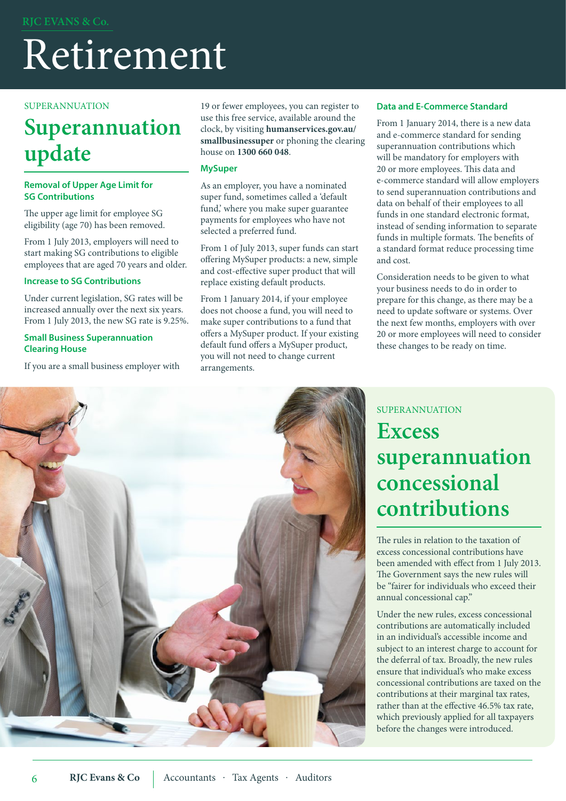# Retirement

#### SUPERANNUATION

## **Superannuation update**

#### **Removal of Upper Age Limit for SG Contributions**

The upper age limit for employee SG eligibility (age 70) has been removed.

From 1 July 2013, employers will need to start making SG contributions to eligible employees that are aged 70 years and older.

#### **Increase to SG Contributions**

Under current legislation, SG rates will be increased annually over the next six years. From 1 July 2013, the new SG rate is 9.25%.

#### **Small Business Superannuation Clearing House**

If you are a small business employer with

19 or fewer employees, you can register to use this free service, available around the clock, by visiting **humanservices.gov.au/ smallbusinessuper** or phoning the clearing house on **1300 660 048**.

#### **MySuper**

As an employer, you have a nominated super fund, sometimes called a 'default fund,' where you make super guarantee payments for employees who have not selected a preferred fund.

From 1 of July 2013, super funds can start offering MySuper products: a new, simple and cost-effective super product that will replace existing default products.

From 1 January 2014, if your employee does not choose a fund, you will need to make super contributions to a fund that offers a MySuper product. If your existing default fund offers a MySuper product, you will not need to change current arrangements.

#### **Data and E-Commerce Standard**

From 1 January 2014, there is a new data and e-commerce standard for sending superannuation contributions which will be mandatory for employers with 20 or more employees. This data and e-commerce standard will allow employers to send superannuation contributions and data on behalf of their employees to all funds in one standard electronic format, instead of sending information to separate funds in multiple formats. The benefits of a standard format reduce processing time and cost.

Consideration needs to be given to what your business needs to do in order to prepare for this change, as there may be a need to update software or systems. Over the next few months, employers with over 20 or more employees will need to consider these changes to be ready on time.



### SUPERANNUATION

## **Excess superannuation concessional contributions**

The rules in relation to the taxation of excess concessional contributions have been amended with effect from 1 July 2013. The Government says the new rules will be "fairer for individuals who exceed their annual concessional cap."

Under the new rules, excess concessional contributions are automatically included in an individual's accessible income and subject to an interest charge to account for the deferral of tax. Broadly, the new rules ensure that individual's who make excess concessional contributions are taxed on the contributions at their marginal tax rates, rather than at the effective 46.5% tax rate, which previously applied for all taxpayers before the changes were introduced.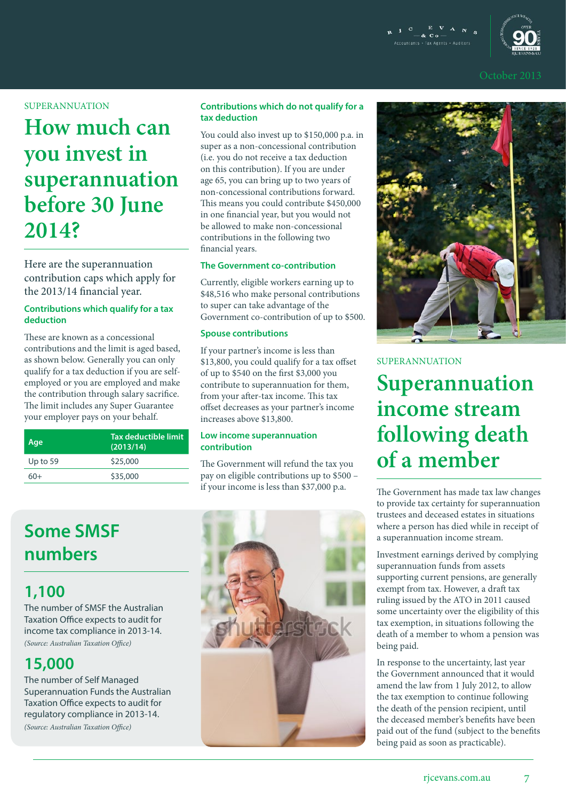

#### SUPERANNUATION

# **How much can you invest in superannuation before 30 June 2014?**

Here are the superannuation contribution caps which apply for the 2013/14 financial year.

#### **Contributions which qualify for a tax deduction**

These are known as a concessional contributions and the limit is aged based, as shown below. Generally you can only qualify for a tax deduction if you are selfemployed or you are employed and make the contribution through salary sacrifice. The limit includes any Super Guarantee your employer pays on your behalf.

| Age        | Tax deductible limit<br>(2013/14) |
|------------|-----------------------------------|
| Up to $59$ | \$25,000                          |
| 60+        | \$35,000                          |

### **Some SMSF numbers**

### **1,100**

The number of SMSF the Australian Taxation Office expects to audit for income tax compliance in 2013-14. *(Source: Australian Taxation Office)*

### **15,000**

The number of Self Managed Superannuation Funds the Australian Taxation Office expects to audit for regulatory compliance in 2013-14. *(Source: Australian Taxation Office)*

#### **Contributions which do not qualify for a tax deduction**

You could also invest up to \$150,000 p.a. in super as a non-concessional contribution (i.e. you do not receive a tax deduction on this contribution). If you are under age 65, you can bring up to two years of non-concessional contributions forward. This means you could contribute \$450,000 in one financial year, but you would not be allowed to make non-concessional contributions in the following two financial years.

#### **The Government co-contribution**

Currently, eligible workers earning up to \$48,516 who make personal contributions to super can take advantage of the Government co-contribution of up to \$500.

#### **Spouse contributions**

If your partner's income is less than \$13,800, you could qualify for a tax offset of up to \$540 on the first \$3,000 you contribute to superannuation for them, from your after-tax income. This tax offset decreases as your partner's income increases above \$13,800.

#### **Low income superannuation contribution**

The Government will refund the tax you pay on eligible contributions up to \$500 – if your income is less than \$37,000 p.a.





#### SUPERANNUATION

**Superannuation income stream following death of a member**

The Government has made tax law changes to provide tax certainty for superannuation trustees and deceased estates in situations where a person has died while in receipt of a superannuation income stream.

Investment earnings derived by complying superannuation funds from assets supporting current pensions, are generally exempt from tax. However, a draft tax ruling issued by the ATO in 2011 caused some uncertainty over the eligibility of this tax exemption, in situations following the death of a member to whom a pension was being paid.

In response to the uncertainty, last year the Government announced that it would amend the law from 1 July 2012, to allow the tax exemption to continue following the death of the pension recipient, until the deceased member's benefits have been paid out of the fund (subject to the benefits being paid as soon as practicable).